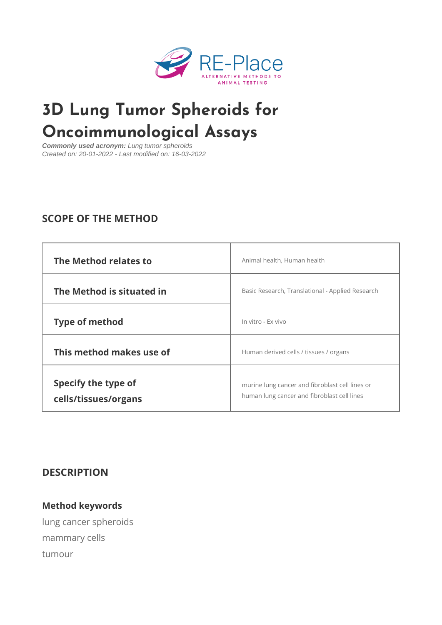# [3D Lung Tumor Sphe](https://www.re-place.be/method/3d-lung-tumor-spheroids-oncoimmunological-assays)roids for Oncoimmunological Assays

Commonly used acronym: Lung tumor spheroids Created on: 20-01-2022 - Last modified on: 16-03-2022

## SCOPE OF THE METHOD

| The Method relates to                       | Animal health, Human health                                                                    |
|---------------------------------------------|------------------------------------------------------------------------------------------------|
| The Method is situated in                   | Basic Research, Translational - Applied Resea                                                  |
| Type of method                              | In vitro - Ex vivo                                                                             |
| This method makes use of                    | Human derived cells / tissues / organs                                                         |
| Specify the type of<br>cells/tissues/organs | murine lung cancer and fibroblast coll lines of<br>human lung cancer and fibroblast cell lines |

DESCRIPTION

Method keywords lung cancer spheroids mammary cells tumour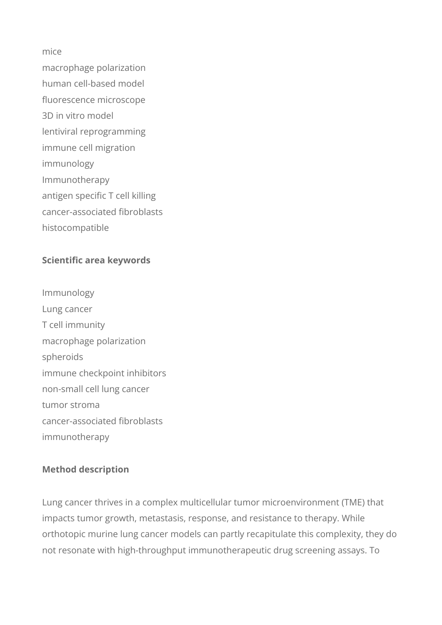#### mice

macrophage polarization human cell-based model fluorescence microscope 3D in vitro model lentiviral reprogramming immune cell migration immunology Immunotherapy antigen specific T cell killing cancer-associated fibroblasts histocompatible

### **Scientific area keywords**

Immunology Lung cancer T cell immunity macrophage polarization spheroids immune checkpoint inhibitors non-small cell lung cancer tumor stroma cancer-associated fibroblasts immunotherapy

#### **Method description**

Lung cancer thrives in a complex multicellular tumor microenvironment (TME) that impacts tumor growth, metastasis, response, and resistance to therapy. While orthotopic murine lung cancer models can partly recapitulate this complexity, they do not resonate with high-throughput immunotherapeutic drug screening assays. To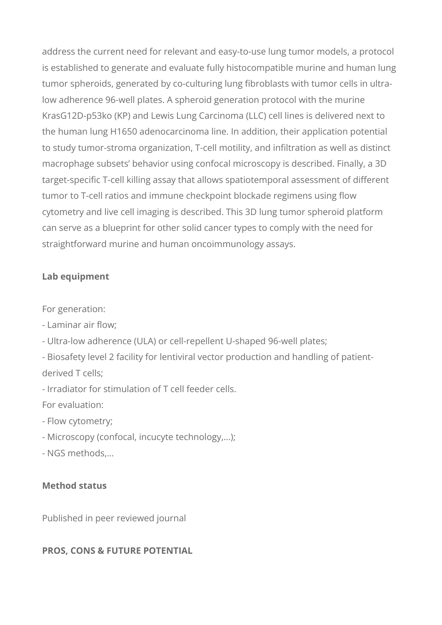address the current need for relevant and easy-to-use lung tumor models, a protocol is established to generate and evaluate fully histocompatible murine and human lung tumor spheroids, generated by co-culturing lung fibroblasts with tumor cells in ultralow adherence 96-well plates. A spheroid generation protocol with the murine KrasG12D-p53ko (KP) and Lewis Lung Carcinoma (LLC) cell lines is delivered next to the human lung H1650 adenocarcinoma line. In addition, their application potential to study tumor-stroma organization, T-cell motility, and infiltration as well as distinct macrophage subsets' behavior using confocal microscopy is described. Finally, a 3D target-specific T-cell killing assay that allows spatiotemporal assessment of different tumor to T-cell ratios and immune checkpoint blockade regimens using flow cytometry and live cell imaging is described. This 3D lung tumor spheroid platform can serve as a blueprint for other solid cancer types to comply with the need for straightforward murine and human oncoimmunology assays.

#### **Lab equipment**

For generation:

- Laminar air flow;
- Ultra-low adherence (ULA) or cell-repellent U-shaped 96-well plates;
- Biosafety level 2 facility for lentiviral vector production and handling of patientderived T cells;
- Irradiator for stimulation of T cell feeder cells.

For evaluation:

- Flow cytometry;
- Microscopy (confocal, incucyte technology,...);
- NGS methods,...

#### **Method status**

Published in peer reviewed journal

#### **PROS, CONS & FUTURE POTENTIAL**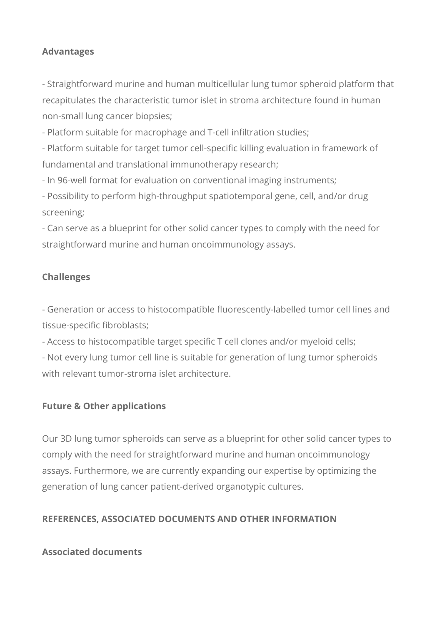#### **Advantages**

- Straightforward murine and human multicellular lung tumor spheroid platform that recapitulates the characteristic tumor islet in stroma architecture found in human non-small lung cancer biopsies;

- Platform suitable for macrophage and T-cell infiltration studies;

- Platform suitable for target tumor cell-specific killing evaluation in framework of fundamental and translational immunotherapy research;

- In 96-well format for evaluation on conventional imaging instruments;

- Possibility to perform high-throughput spatiotemporal gene, cell, and/or drug screening;

- Can serve as a blueprint for other solid cancer types to comply with the need for straightforward murine and human oncoimmunology assays.

#### **Challenges**

- Generation or access to histocompatible fluorescently-labelled tumor cell lines and tissue-specific fibroblasts;

- Access to histocompatible target specific T cell clones and/or myeloid cells;

- Not every lung tumor cell line is suitable for generation of lung tumor spheroids with relevant tumor-stroma islet architecture.

#### **Future & Other applications**

Our 3D lung tumor spheroids can serve as a blueprint for other solid cancer types to comply with the need for straightforward murine and human oncoimmunology assays. Furthermore, we are currently expanding our expertise by optimizing the generation of lung cancer patient-derived organotypic cultures.

#### **REFERENCES, ASSOCIATED DOCUMENTS AND OTHER INFORMATION**

#### **Associated documents**